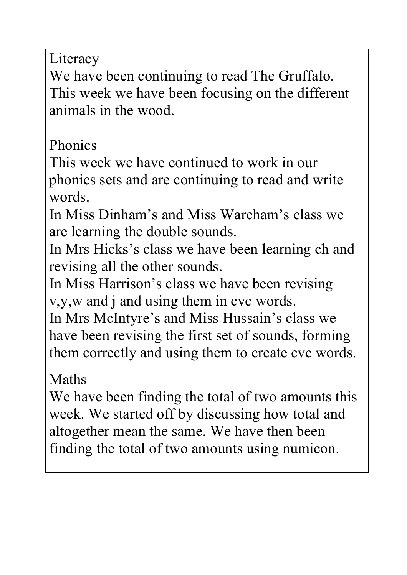Literacy

We have been continuing to read The Gruffalo. This week we have been focusing on the different animals in the wood.

## Phonics

This week we have continued to work in our phonics sets and are continuing to read and write words.

In Miss Dinham's and Miss Wareham's class we are learning the double sounds.

In Mrs Hicks's class we have been learning ch and revising all the other sounds.

In Miss Harrison's class we have been revising v,y,w and j and using them in cvc words.

In Mrs McIntyre's and Miss Hussain's class we have been revising the first set of sounds, forming them correctly and using them to create cvc words.

## Maths

We have been finding the total of two amounts this week. We started off by discussing how total and altogether mean the same. We have then been finding the total of two amounts using numicon.